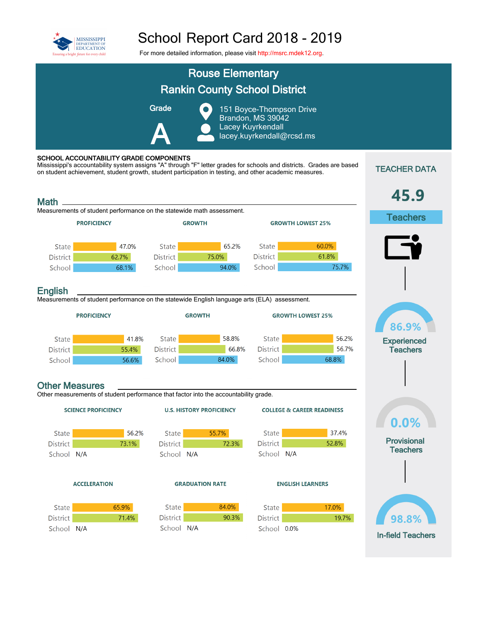

## School Report Card 2018 - 2019

For more detailed information, please visit [http://msrc.mdek12.org](http://msrc.mdek12.org/).